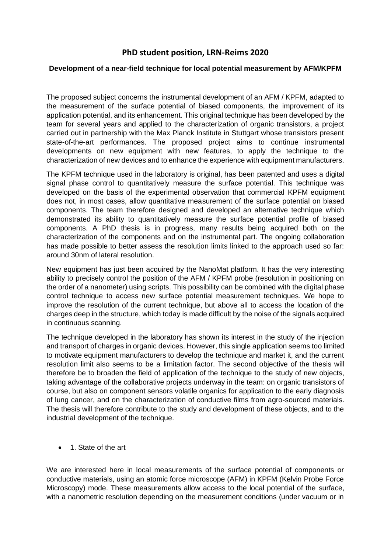## **PhD student position, LRN-Reims 2020**

## **Development of a near-field technique for local potential measurement by AFM/KPFM**

The proposed subject concerns the instrumental development of an AFM / KPFM, adapted to the measurement of the surface potential of biased components, the improvement of its application potential, and its enhancement. This original technique has been developed by the team for several years and applied to the characterization of organic transistors, a project carried out in partnership with the Max Planck Institute in Stuttgart whose transistors present state-of-the-art performances. The proposed project aims to continue instrumental developments on new equipment with new features, to apply the technique to the characterization of new devices and to enhance the experience with equipment manufacturers.

The KPFM technique used in the laboratory is original, has been patented and uses a digital signal phase control to quantitatively measure the surface potential. This technique was developed on the basis of the experimental observation that commercial KPFM equipment does not, in most cases, allow quantitative measurement of the surface potential on biased components. The team therefore designed and developed an alternative technique which demonstrated its ability to quantitatively measure the surface potential profile of biased components. A PhD thesis is in progress, many results being acquired both on the characterization of the components and on the instrumental part. The ongoing collaboration has made possible to better assess the resolution limits linked to the approach used so far: around 30nm of lateral resolution.

New equipment has just been acquired by the NanoMat platform. It has the very interesting ability to precisely control the position of the AFM / KPFM probe (resolution in positioning on the order of a nanometer) using scripts. This possibility can be combined with the digital phase control technique to access new surface potential measurement techniques. We hope to improve the resolution of the current technique, but above all to access the location of the charges deep in the structure, which today is made difficult by the noise of the signals acquired in continuous scanning.

The technique developed in the laboratory has shown its interest in the study of the injection and transport of charges in organic devices. However, this single application seems too limited to motivate equipment manufacturers to develop the technique and market it, and the current resolution limit also seems to be a limitation factor. The second objective of the thesis will therefore be to broaden the field of application of the technique to the study of new objects, taking advantage of the collaborative projects underway in the team: on organic transistors of course, but also on component sensors volatile organics for application to the early diagnosis of lung cancer, and on the characterization of conductive films from agro-sourced materials. The thesis will therefore contribute to the study and development of these objects, and to the industrial development of the technique.

• 1. State of the art

We are interested here in local measurements of the surface potential of components or conductive materials, using an atomic force microscope (AFM) in KPFM (Kelvin Probe Force Microscopy) mode. These measurements allow access to the local potential of the surface, with a nanometric resolution depending on the measurement conditions (under vacuum or in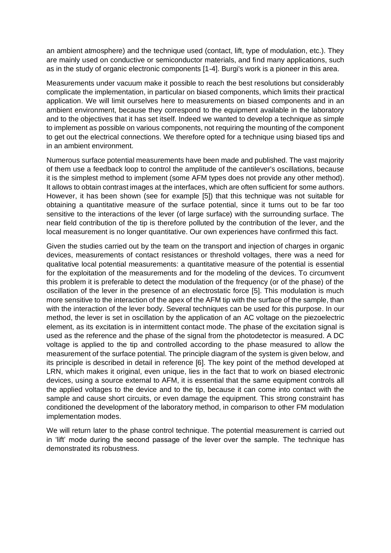an ambient atmosphere) and the technique used (contact, lift, type of modulation, etc.). They are mainly used on conductive or semiconductor materials, and find many applications, such as in the study of organic electronic components [1-4]. Burgi's work is a pioneer in this area.

Measurements under vacuum make it possible to reach the best resolutions but considerably complicate the implementation, in particular on biased components, which limits their practical application. We will limit ourselves here to measurements on biased components and in an ambient environment, because they correspond to the equipment available in the laboratory and to the objectives that it has set itself. Indeed we wanted to develop a technique as simple to implement as possible on various components, not requiring the mounting of the component to get out the electrical connections. We therefore opted for a technique using biased tips and in an ambient environment.

Numerous surface potential measurements have been made and published. The vast majority of them use a feedback loop to control the amplitude of the cantilever's oscillations, because it is the simplest method to implement (some AFM types does not provide any other method). It allows to obtain contrast images at the interfaces, which are often sufficient for some authors. However, it has been shown (see for example [5]) that this technique was not suitable for obtaining a quantitative measure of the surface potential, since it turns out to be far too sensitive to the interactions of the lever (of large surface) with the surrounding surface. The near field contribution of the tip is therefore polluted by the contribution of the lever, and the local measurement is no longer quantitative. Our own experiences have confirmed this fact.

Given the studies carried out by the team on the transport and injection of charges in organic devices, measurements of contact resistances or threshold voltages, there was a need for qualitative local potential measurements: a quantitative measure of the potential is essential for the exploitation of the measurements and for the modeling of the devices. To circumvent this problem it is preferable to detect the modulation of the frequency (or of the phase) of the oscillation of the lever in the presence of an electrostatic force [5]. This modulation is much more sensitive to the interaction of the apex of the AFM tip with the surface of the sample, than with the interaction of the lever body. Several techniques can be used for this purpose. In our method, the lever is set in oscillation by the application of an AC voltage on the piezoelectric element, as its excitation is in intermittent contact mode. The phase of the excitation signal is used as the reference and the phase of the signal from the photodetector is measured. A DC voltage is applied to the tip and controlled according to the phase measured to allow the measurement of the surface potential. The principle diagram of the system is given below, and its principle is described in detail in reference [6]. The key point of the method developed at LRN, which makes it original, even unique, lies in the fact that to work on biased electronic devices, using a source external to AFM, it is essential that the same equipment controls all the applied voltages to the device and to the tip, because it can come into contact with the sample and cause short circuits, or even damage the equipment. This strong constraint has conditioned the development of the laboratory method, in comparison to other FM modulation implementation modes.

We will return later to the phase control technique. The potential measurement is carried out in 'lift' mode during the second passage of the lever over the sample. The technique has demonstrated its robustness.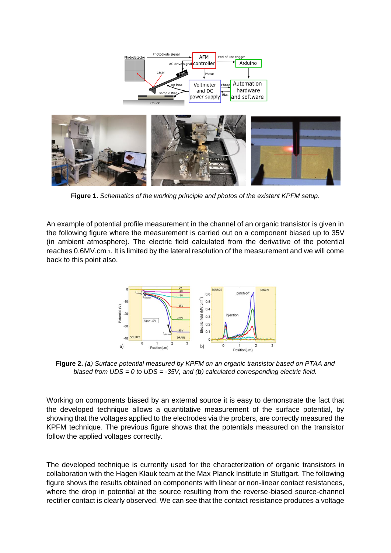

**Figure 1.** *Schematics of the working principle and photos of the existent KPFM setup*.

An example of potential profile measurement in the channel of an organic transistor is given in the following figure where the measurement is carried out on a component biased up to 35V (in ambient atmosphere). The electric field calculated from the derivative of the potential reaches 0.6MV.cm-1. It is limited by the lateral resolution of the measurement and we will come back to this point also.



**Figure 2.** *(a) Surface potential measured by KPFM on an organic transistor based on PTAA and biased from UDS = 0 to UDS = -35V, and (b) calculated corresponding electric field.*

Working on components biased by an external source it is easy to demonstrate the fact that the developed technique allows a quantitative measurement of the surface potential, by showing that the voltages applied to the electrodes via the probers, are correctly measured the KPFM technique. The previous figure shows that the potentials measured on the transistor follow the applied voltages correctly.

The developed technique is currently used for the characterization of organic transistors in collaboration with the Hagen Klauk team at the Max Planck Institute in Stuttgart. The following figure shows the results obtained on components with linear or non-linear contact resistances, where the drop in potential at the source resulting from the reverse-biased source-channel rectifier contact is clearly observed. We can see that the contact resistance produces a voltage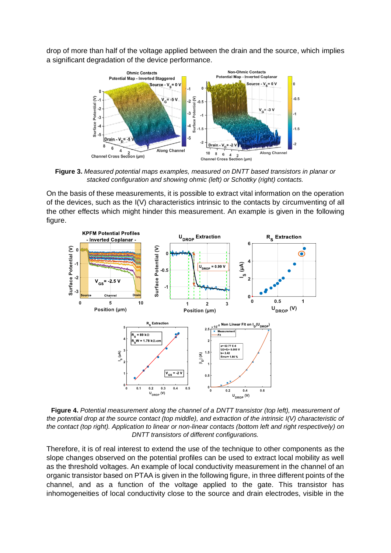drop of more than half of the voltage applied between the drain and the source, which implies a significant degradation of the device performance.



**Figure 3.** *Measured potential maps examples, measured on DNTT based transistors in planar or stacked configuration and showing ohmic (left) or Schottky (right) contacts.*

On the basis of these measurements, it is possible to extract vital information on the operation of the devices, such as the I(V) characteristics intrinsic to the contacts by circumventing of all the other effects which might hinder this measurement. An example is given in the following figure.



**Figure 4.** *Potential measurement along the channel of a DNTT transistor (top left), measurement of the potential drop at the source contact (top middle), and extraction of the intrinsic I(V) characteristic of the contact (top right). Application to linear or non-linear contacts (bottom left and right respectively) on DNTT transistors of different configurations.*

Therefore, it is of real interest to extend the use of the technique to other components as the slope changes observed on the potential profiles can be used to extract local mobility as well as the threshold voltages. An example of local conductivity measurement in the channel of an organic transistor based on PTAA is given in the following figure, in three different points of the channel, and as a function of the voltage applied to the gate. This transistor has inhomogeneities of local conductivity close to the source and drain electrodes, visible in the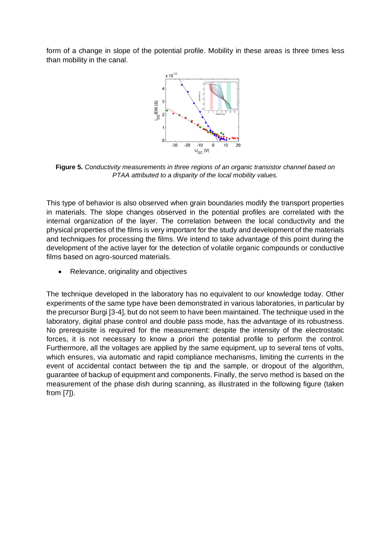form of a change in slope of the potential profile. Mobility in these areas is three times less than mobility in the canal.



**Figure 5.** *Conductivity measurements in three regions of an organic transistor channel based on PTAA attributed to a disparity of the local mobility values.*

This type of behavior is also observed when grain boundaries modify the transport properties in materials. The slope changes observed in the potential profiles are correlated with the internal organization of the layer. The correlation between the local conductivity and the physical properties of the films is very important for the study and development of the materials and techniques for processing the films. We intend to take advantage of this point during the development of the active layer for the detection of volatile organic compounds or conductive films based on agro-sourced materials.

• Relevance, originality and objectives

The technique developed in the laboratory has no equivalent to our knowledge today. Other experiments of the same type have been demonstrated in various laboratories, in particular by the precursor Burgi [3-4], but do not seem to have been maintained. The technique used in the laboratory, digital phase control and double pass mode, has the advantage of its robustness. No prerequisite is required for the measurement: despite the intensity of the electrostatic forces, it is not necessary to know a priori the potential profile to perform the control. Furthermore, all the voltages are applied by the same equipment, up to several tens of volts, which ensures, via automatic and rapid compliance mechanisms, limiting the currents in the event of accidental contact between the tip and the sample, or dropout of the algorithm, guarantee of backup of equipment and components. Finally, the servo method is based on the measurement of the phase dish during scanning, as illustrated in the following figure (taken from [7]).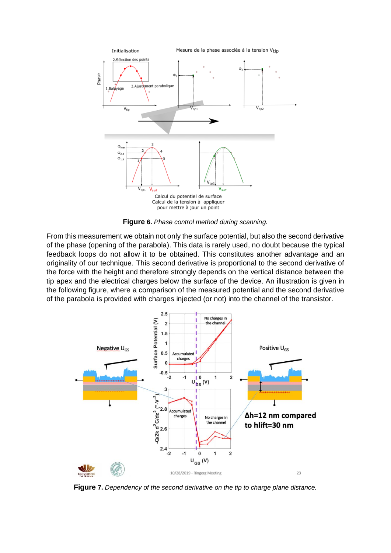

**Figure 6.** *Phase control method during scanning.*

From this measurement we obtain not only the surface potential, but also the second derivative of the phase (opening of the parabola). This data is rarely used, no doubt because the typical feedback loops do not allow it to be obtained. This constitutes another advantage and an originality of our technique. This second derivative is proportional to the second derivative of the force with the height and therefore strongly depends on the vertical distance between the tip apex and the electrical charges below the surface of the device. An illustration is given in the following figure, where a comparison of the measured potential and the second derivative of the parabola is provided with charges injected (or not) into the channel of the transistor.



**Figure 7.** *Dependency of the second derivative on the tip to charge plane distance.*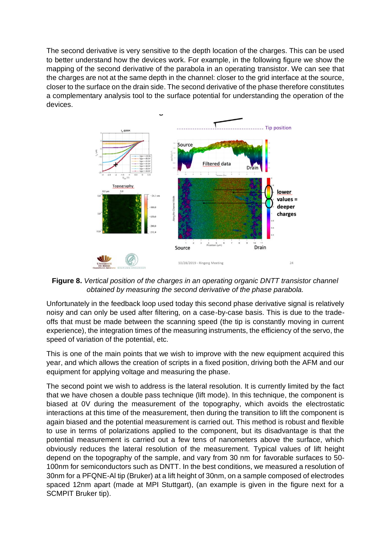The second derivative is very sensitive to the depth location of the charges. This can be used to better understand how the devices work. For example, in the following figure we show the mapping of the second derivative of the parabola in an operating transistor. We can see that the charges are not at the same depth in the channel: closer to the grid interface at the source, closer to the surface on the drain side. The second derivative of the phase therefore constitutes a complementary analysis tool to the surface potential for understanding the operation of the devices.



**Figure 8.** *Vertical position of the charges in an operating organic DNTT transistor channel obtained by measuring the second derivative of the phase parabola.*

Unfortunately in the feedback loop used today this second phase derivative signal is relatively noisy and can only be used after filtering, on a case-by-case basis. This is due to the tradeoffs that must be made between the scanning speed (the tip is constantly moving in current experience), the integration times of the measuring instruments, the efficiency of the servo, the speed of variation of the potential, etc.

This is one of the main points that we wish to improve with the new equipment acquired this year, and which allows the creation of scripts in a fixed position, driving both the AFM and our equipment for applying voltage and measuring the phase.

The second point we wish to address is the lateral resolution. It is currently limited by the fact that we have chosen a double pass technique (lift mode). In this technique, the component is biased at 0V during the measurement of the topography, which avoids the electrostatic interactions at this time of the measurement, then during the transition to lift the component is again biased and the potential measurement is carried out. This method is robust and flexible to use in terms of polarizations applied to the component, but its disadvantage is that the potential measurement is carried out a few tens of nanometers above the surface, which obviously reduces the lateral resolution of the measurement. Typical values of lift height depend on the topography of the sample, and vary from 30 nm for favorable surfaces to 50- 100nm for semiconductors such as DNTT. In the best conditions, we measured a resolution of 30nm for a PFQNE-Al tip (Bruker) at a lift height of 30nm, on a sample composed of electrodes spaced 12nm apart (made at MPI Stuttgart), (an example is given in the figure next for a SCMPIT Bruker tip).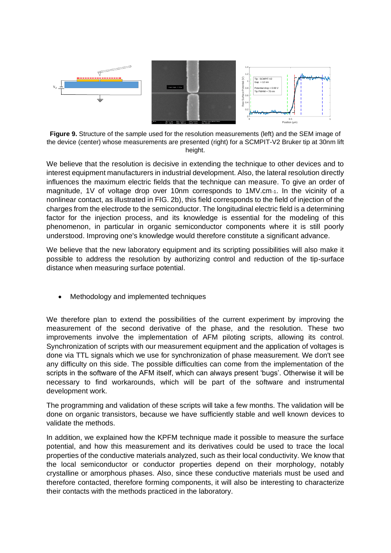

**Figure 9.** Structure of the sample used for the resolution measurements (left) and the SEM image of the device (center) whose measurements are presented (right) for a SCMPIT-V2 Bruker tip at 30nm lift height.

We believe that the resolution is decisive in extending the technique to other devices and to interest equipment manufacturers in industrial development. Also, the lateral resolution directly influences the maximum electric fields that the technique can measure. To give an order of magnitude, 1V of voltage drop over 10nm corresponds to 1MV.cm-1. In the vicinity of a nonlinear contact, as illustrated in FIG. 2b), this field corresponds to the field of injection of the charges from the electrode to the semiconductor. The longitudinal electric field is a determining factor for the injection process, and its knowledge is essential for the modeling of this phenomenon, in particular in organic semiconductor components where it is still poorly understood. Improving one's knowledge would therefore constitute a significant advance.

We believe that the new laboratory equipment and its scripting possibilities will also make it possible to address the resolution by authorizing control and reduction of the tip-surface distance when measuring surface potential.

• Methodology and implemented techniques

We therefore plan to extend the possibilities of the current experiment by improving the measurement of the second derivative of the phase, and the resolution. These two improvements involve the implementation of AFM piloting scripts, allowing its control. Synchronization of scripts with our measurement equipment and the application of voltages is done via TTL signals which we use for synchronization of phase measurement. We don't see any difficulty on this side. The possible difficulties can come from the implementation of the scripts in the software of the AFM itself, which can always present 'bugs'. Otherwise it will be necessary to find workarounds, which will be part of the software and instrumental development work.

The programming and validation of these scripts will take a few months. The validation will be done on organic transistors, because we have sufficiently stable and well known devices to validate the methods.

In addition, we explained how the KPFM technique made it possible to measure the surface potential, and how this measurement and its derivatives could be used to trace the local properties of the conductive materials analyzed, such as their local conductivity. We know that the local semiconductor or conductor properties depend on their morphology, notably crystalline or amorphous phases. Also, since these conductive materials must be used and therefore contacted, therefore forming components, it will also be interesting to characterize their contacts with the methods practiced in the laboratory.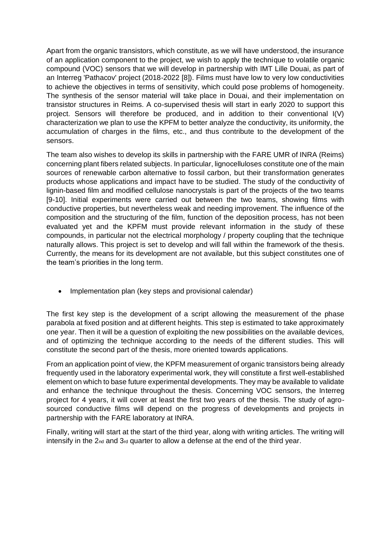Apart from the organic transistors, which constitute, as we will have understood, the insurance of an application component to the project, we wish to apply the technique to volatile organic compound (VOC) sensors that we will develop in partnership with IMT Lille Douai, as part of an Interreg 'Pathacov' project (2018-2022 [8]). Films must have low to very low conductivities to achieve the objectives in terms of sensitivity, which could pose problems of homogeneity. The synthesis of the sensor material will take place in Douai, and their implementation on transistor structures in Reims. A co-supervised thesis will start in early 2020 to support this project. Sensors will therefore be produced, and in addition to their conventional I(V) characterization we plan to use the KPFM to better analyze the conductivity, its uniformity, the accumulation of charges in the films, etc., and thus contribute to the development of the sensors.

The team also wishes to develop its skills in partnership with the FARE UMR of INRA (Reims) concerning plant fibers related subjects. In particular, lignocelluloses constitute one of the main sources of renewable carbon alternative to fossil carbon, but their transformation generates products whose applications and impact have to be studied. The study of the conductivity of lignin-based film and modified cellulose nanocrystals is part of the projects of the two teams [9-10]. Initial experiments were carried out between the two teams, showing films with conductive properties, but nevertheless weak and needing improvement. The influence of the composition and the structuring of the film, function of the deposition process, has not been evaluated yet and the KPFM must provide relevant information in the study of these compounds, in particular not the electrical morphology / property coupling that the technique naturally allows. This project is set to develop and will fall within the framework of the thesis. Currently, the means for its development are not available, but this subject constitutes one of the team's priorities in the long term.

• Implementation plan (key steps and provisional calendar)

The first key step is the development of a script allowing the measurement of the phase parabola at fixed position and at different heights. This step is estimated to take approximately one year. Then it will be a question of exploiting the new possibilities on the available devices, and of optimizing the technique according to the needs of the different studies. This will constitute the second part of the thesis, more oriented towards applications.

From an application point of view, the KPFM measurement of organic transistors being already frequently used in the laboratory experimental work, they will constitute a first well-established element on which to base future experimental developments. They may be available to validate and enhance the technique throughout the thesis. Concerning VOC sensors, the Interreg project for 4 years, it will cover at least the first two years of the thesis. The study of agrosourced conductive films will depend on the progress of developments and projects in partnership with the FARE laboratory at INRA.

Finally, writing will start at the start of the third year, along with writing articles. The writing will intensify in the  $2_{nd}$  and  $3_{rd}$  quarter to allow a defense at the end of the third year.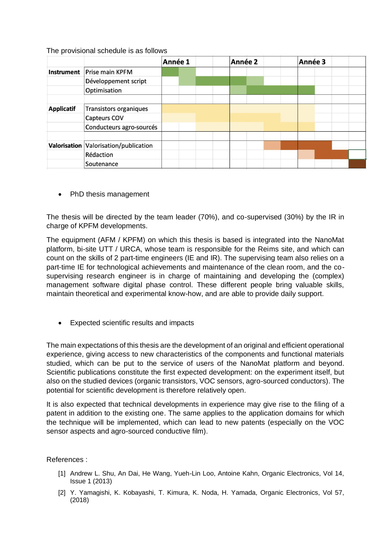## The provisional schedule is as follows

|                   |                                       | Année 1 |  | Année 2 |  | Année 3 |  |  |
|-------------------|---------------------------------------|---------|--|---------|--|---------|--|--|
| <b>Instrument</b> | Prise main KPFM                       |         |  |         |  |         |  |  |
|                   | Développement script                  |         |  |         |  |         |  |  |
|                   | Optimisation                          |         |  |         |  |         |  |  |
|                   |                                       |         |  |         |  |         |  |  |
| <b>Applicatif</b> | <b>Transistors organiques</b>         |         |  |         |  |         |  |  |
|                   | Capteurs COV                          |         |  |         |  |         |  |  |
|                   | Conducteurs agro-sourcés              |         |  |         |  |         |  |  |
|                   |                                       |         |  |         |  |         |  |  |
|                   | Valorisation Valorisation/publication |         |  |         |  |         |  |  |
|                   | Rédaction                             |         |  |         |  |         |  |  |
|                   | Soutenance                            |         |  |         |  |         |  |  |

• PhD thesis management

The thesis will be directed by the team leader (70%), and co-supervised (30%) by the IR in charge of KPFM developments.

The equipment (AFM / KPFM) on which this thesis is based is integrated into the NanoMat platform, bi-site UTT / URCA, whose team is responsible for the Reims site, and which can count on the skills of 2 part-time engineers (IE and IR). The supervising team also relies on a part-time IE for technological achievements and maintenance of the clean room, and the cosupervising research engineer is in charge of maintaining and developing the (complex) management software digital phase control. These different people bring valuable skills, maintain theoretical and experimental know-how, and are able to provide daily support.

• Expected scientific results and impacts

The main expectations of this thesis are the development of an original and efficient operational experience, giving access to new characteristics of the components and functional materials studied, which can be put to the service of users of the NanoMat platform and beyond. Scientific publications constitute the first expected development: on the experiment itself, but also on the studied devices (organic transistors, VOC sensors, agro-sourced conductors). The potential for scientific development is therefore relatively open.

It is also expected that technical developments in experience may give rise to the filing of a patent in addition to the existing one. The same applies to the application domains for which the technique will be implemented, which can lead to new patents (especially on the VOC sensor aspects and agro-sourced conductive film).

## References :

- [1] Andrew L. Shu, An Dai, He Wang, Yueh-Lin Loo, Antoine Kahn, Organic Electronics, Vol 14, Issue 1 (2013)
- [2] Y. Yamagishi, K. Kobayashi, T. Kimura, K. Noda, H. Yamada, Organic Electronics, Vol 57, (2018)